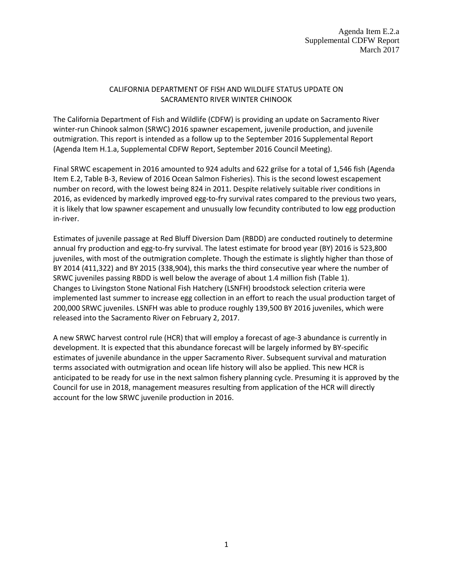## CALIFORNIA DEPARTMENT OF FISH AND WILDLIFE STATUS UPDATE ON SACRAMENTO RIVER WINTER CHINOOK

The California Department of Fish and Wildlife (CDFW) is providing an update on Sacramento River winter-run Chinook salmon (SRWC) 2016 spawner escapement, juvenile production, and juvenile outmigration. This report is intended as a follow up to the September 2016 Supplemental Report (Agenda Item H.1.a, Supplemental CDFW Report, September 2016 Council Meeting).

Final SRWC escapement in 2016 amounted to 924 adults and 622 grilse for a total of 1,546 fish (Agenda Item E.2, Table B-3, Review of 2016 Ocean Salmon Fisheries). This is the second lowest escapement number on record, with the lowest being 824 in 2011. Despite relatively suitable river conditions in 2016, as evidenced by markedly improved egg-to-fry survival rates compared to the previous two years, it is likely that low spawner escapement and unusually low fecundity contributed to low egg production in-river.

Estimates of juvenile passage at Red Bluff Diversion Dam (RBDD) are conducted routinely to determine annual fry production and egg-to-fry survival. The latest estimate for brood year (BY) 2016 is 523,800 juveniles, with most of the outmigration complete. Though the estimate is slightly higher than those of BY 2014 (411,322) and BY 2015 (338,904), this marks the third consecutive year where the number of SRWC juveniles passing RBDD is well below the average of about 1.4 million fish (Table 1). Changes to Livingston Stone National Fish Hatchery (LSNFH) broodstock selection criteria were implemented last summer to increase egg collection in an effort to reach the usual production target of 200,000 SRWC juveniles. LSNFH was able to produce roughly 139,500 BY 2016 juveniles, which were released into the Sacramento River on February 2, 2017.

A new SRWC harvest control rule (HCR) that will employ a forecast of age-3 abundance is currently in development. It is expected that this abundance forecast will be largely informed by BY-specific estimates of juvenile abundance in the upper Sacramento River. Subsequent survival and maturation terms associated with outmigration and ocean life history will also be applied. This new HCR is anticipated to be ready for use in the next salmon fishery planning cycle. Presuming it is approved by the Council for use in 2018, management measures resulting from application of the HCR will directly account for the low SRWC juvenile production in 2016.